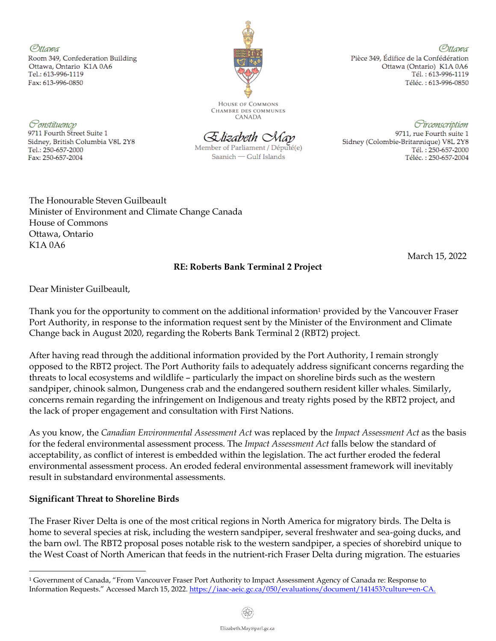Ottawa Room 349, Confederation Building Ottawa, Ontario K1A 0A6 Tel.: 613-996-1119 Fax: 613-996-0850

Sidney, British Columbia V8L 2Y8

*Ponstituency* 

Tel.: 250-657-2000

Fax: 250-657-2004

9711 Fourth Street Suite 1



Ottawa Pièce 349. Édifice de la Confédération Ottawa (Ontario) K1A 0A6 Tél.: 613-996-1119 Téléc.: 613-996-0850

**HOUSE OF COMMONS CHAMBRE DES COMMUNES** CANADA

Sclizabeth Nav

Member of Parliament / Député(e) Saanich - Gulf Islands

Oirconscription 9711, rue Fourth suite 1 Sidney (Colombie-Britannique) V8L 2Y8 Tél.: 250-657-2000 Téléc.: 250-657-2004

The Honourable Steven Guilbeault Minister of Environment and Climate Change Canada House of Commons Ottawa, Ontario K1A 0A6

March 15, 2022

## **RE: Roberts Bank Terminal 2 Project**

Dear Minister Guilbeault,

Thank you for the opportunity to comment on the additional information<sup>1</sup> provided by the Vancouver Fraser Port Authority, in response to the information request sent by the Minister of the Environment and Climate Change back in August 2020, regarding the Roberts Bank Terminal 2 (RBT2) project.

After having read through the additional information provided by the Port Authority, I remain strongly opposed to the RBT2 project. The Port Authority fails to adequately address significant concerns regarding the threats to local ecosystems and wildlife – particularly the impact on shoreline birds such as the western sandpiper, chinook salmon, Dungeness crab and the endangered southern resident killer whales. Similarly, concerns remain regarding the infringement on Indigenous and treaty rights posed by the RBT2 project, and the lack of proper engagement and consultation with First Nations.

As you know, the *Canadian Environmental Assessment Act* was replaced by the *Impact Assessment Act* as the basis for the federal environmental assessment process. The *Impact Assessment Act* falls below the standard of acceptability, as conflict of interest is embedded within the legislation. The act further eroded the federal environmental assessment process. An eroded federal environmental assessment framework will inevitably result in substandard environmental assessments.

## **Significant Threat to Shoreline Birds**

The Fraser River Delta is one of the most critical regions in North America for migratory birds. The Delta is home to several species at risk, including the western sandpiper, several freshwater and sea-going ducks, and the barn owl. The RBT2 proposal poses notable risk to the western sandpiper, a species of shorebird unique to the West Coast of North American that feeds in the nutrient-rich Fraser Delta during migration. The estuaries

<sup>1</sup> Government of Canada, "From Vancouver Fraser Port Authority to Impact Assessment Agency of Canada re: Response to Information Requests." Accessed March 15, 2022. [https://iaac-aeic.gc.ca/050/evaluations/document/141453?culture=en-CA.](https://iaac-aeic.gc.ca/050/evaluations/document/141453?culture=en-CA)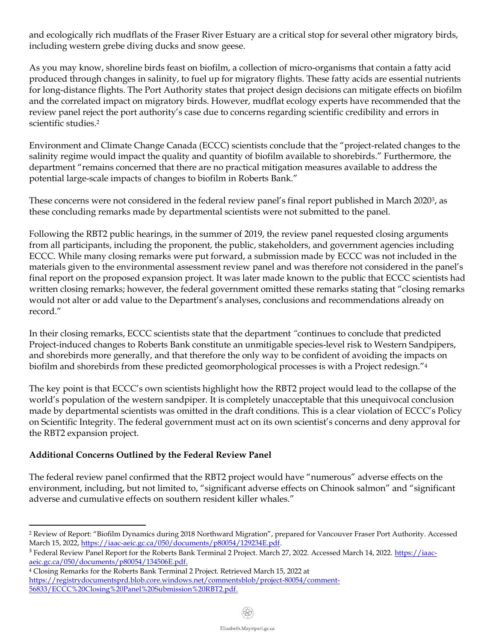and ecologically rich mudflats of the Fraser River Estuary are a critical stop for several other migratory birds, including western grebe diving ducks and snow geese.

As you may know, shoreline birds feast on biofilm, a collection of micro-organisms that contain a fatty acid produced through changes in salinity, to fuel up for migratory flights. These fatty acids are essential nutrients for long-distance flights. The Port Authority states that project design decisions can mitigate effects on biofilm and the correlated impact on migratory birds. However, mudflat ecology experts have recommended that the review panel reject the port authority's case due to concerns regarding scientific credibility and errors in scientific studies.<sup>2</sup>

Environment and Climate Change Canada (ECCC) scientists conclude that the "project-related changes to the salinity regime would impact the quality and quantity of biofilm available to shorebirds." Furthermore, the department "remains concerned that there are no practical mitigation measures available to address the potential large-scale impacts of changes to biofilm in Roberts Bank."

These concerns were not considered in the federal review panel's final report published in March 20203, as these concluding remarks made by departmental scientists were not submitted to the panel.

Following the RBT2 public hearings, in the summer of 2019, the review panel requested closing arguments from all participants, including the proponent, the public, stakeholders, and government agencies including ECCC. While many closing remarks were put forward, a submission made by ECCC was not included in the materials given to the environmental assessment review panel and was therefore not considered in the panel's final report on the proposed expansion project. It was later made known to the public that ECCC scientists had written closing remarks; however, the federal government omitted these remarks stating that "closing remarks would not alter or add value to the Department's analyses, conclusions and recommendations already on record."

In their closing remarks, ECCC scientists state that the department *"*continues to conclude that predicted Project-induced changes to Roberts Bank constitute an unmitigable species-level risk to Western Sandpipers, and shorebirds more generally, and that therefore the only way to be confident of avoiding the impacts on biofilm and shorebirds from these predicted geomorphological processes is with a Project redesign."<sup>4</sup>

The key point is that ECCC's own scientists highlight how the RBT2 project would lead to the collapse of the world's population of the western sandpiper. It is completely unacceptable that this unequivocal conclusion made by departmental scientists was omitted in the draft conditions. This is a clear violation of ECCC's Policy on Scientific Integrity. The federal government must act on its own scientist's concerns and deny approval for the RBT2 expansion project.

## **Additional Concerns Outlined by the Federal Review Panel**

The federal review panel confirmed that the RBT2 project would have "numerous" adverse effects on the environment, including, but not limited to, "significant adverse effects on Chinook salmon" and "significant adverse and cumulative effects on southern resident killer whales."

<sup>4</sup> Closing Remarks for the Roberts Bank Terminal 2 Project. Retrieved March 15, 2022 at [https://registrydocumentsprd.blob.core.windows.net/commentsblob/project-80054/comment-](https://registrydocumentsprd.blob.core.windows.net/commentsblob/project-80054/comment-56833/ECCC%20Closing%20Panel%20Submission%20RBT2.pdf)[56833/ECCC%20Closing%20Panel%20Submission%20RBT2.pdf.](https://registrydocumentsprd.blob.core.windows.net/commentsblob/project-80054/comment-56833/ECCC%20Closing%20Panel%20Submission%20RBT2.pdf)

<sup>2</sup> Review of Report: "Biofilm Dynamics during 2018 Northward Migration", prepared for Vancouver Fraser Port Authority. Accessed March 15, 2022, [https://iaac-aeic.gc.ca/050/documents/p80054/129234E.pdf.](https://iaac-aeic.gc.ca/050/documents/p80054/129234E.pdf)

<sup>&</sup>lt;sup>3</sup> Federal Review Panel Report for the Roberts Bank Terminal 2 Project. March 27, 2022. Accessed March 14, 2022. [https://iaac](https://iaac-aeic.gc.ca/050/documents/p80054/134506E.pdf)[aeic.gc.ca/050/documents/p80054/134506E.pdf.](https://iaac-aeic.gc.ca/050/documents/p80054/134506E.pdf)